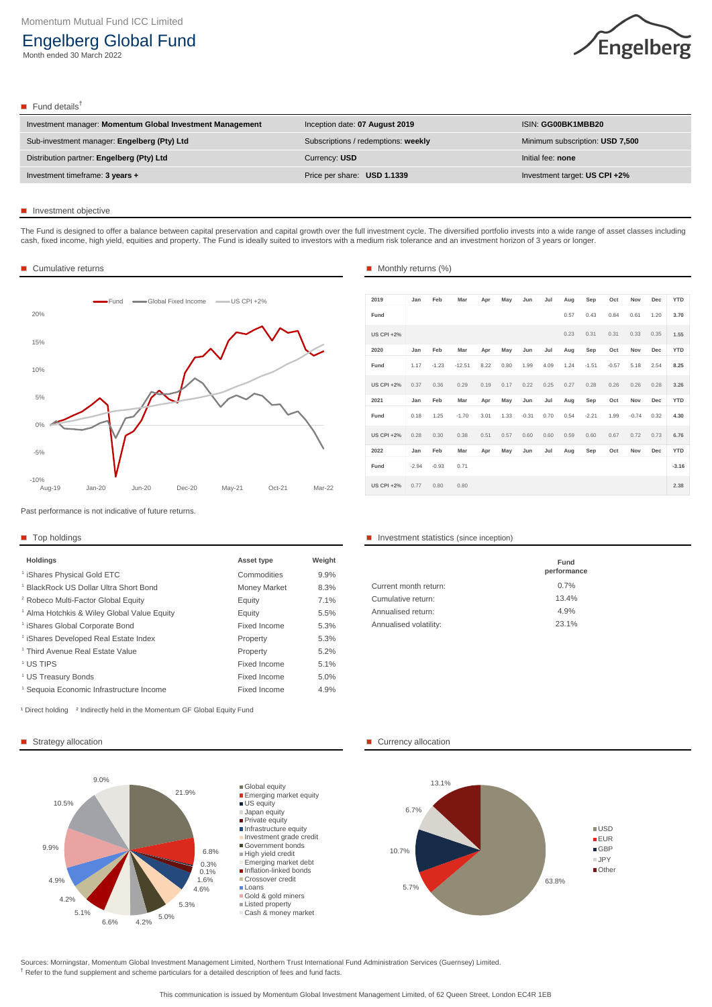| Investment manager: Momentum Global Investment Management | Inception date: 07 August 2019      | <b>ISIN: GG00BK1MBB20</b>       |
|-----------------------------------------------------------|-------------------------------------|---------------------------------|
| Sub-investment manager: Engelberg (Pty) Ltd               | Subscriptions / redemptions: weekly | Minimum subscription: USD 7,500 |
| Distribution partner: Engelberg (Pty) Ltd                 | Currency: USD                       | Initial fee: none               |
| Investment timeframe: 3 years +                           | Price per share: USD 1.1339         | Investment target: US CPI +2%   |

# **Investment objective**

Past performance is not indicative of future returns.

<sup>†</sup> Refer to the fund supplement and scheme particulars for a detailed description of fees and fund facts. Sources: Morningstar, Momentum Global Investment Management Limited, Northern Trust International Fund Administration Services (Guernsey) Limited.

| <b>Holdings</b>                                        | <b>Asset type</b>   | Weight |                        |
|--------------------------------------------------------|---------------------|--------|------------------------|
| <sup>1</sup> iShares Physical Gold ETC                 | Commodities         | 9.9%   |                        |
| <sup>1</sup> BlackRock US Dollar Ultra Short Bond      | <b>Money Market</b> | 8.3%   | Current month return:  |
| <sup>2</sup> Robeco Multi-Factor Global Equity         | Equity              | 7.1%   | Cumulative return:     |
| <sup>1</sup> Alma Hotchkis & Wiley Global Value Equity | Equity              | 5.5%   | Annualised return:     |
| <sup>1</sup> iShares Global Corporate Bond             | <b>Fixed Income</b> | 5.3%   | Annualised volatility: |
| <sup>1</sup> iShares Developed Real Estate Index       | Property            | 5.3%   |                        |
| <sup>1</sup> Third Avenue Real Estate Value            | Property            | 5.2%   |                        |
| <sup>1</sup> US TIPS                                   | <b>Fixed Income</b> | 5.1%   |                        |
| <sup>1</sup> US Treasury Bonds                         | Fixed Income        | 5.0%   |                        |
| Sequoia Economic Infrastructure Income                 | <b>Fixed Income</b> | 4.9%   |                        |

### ■ Top holdings **Investment statistics (since inception)**

This communication is issued by Momentum Global Investment Management Limited, of 62 Queen Street, London EC4R 1EB

|                        | <b>Fund</b><br>performance |  |
|------------------------|----------------------------|--|
| Current month return:  | 0.7%                       |  |
| Cumulative return:     | 13.4%                      |  |
| Annualised return:     | 4.9%                       |  |
| Annualised volatility: | 23.1%                      |  |

<sup>1</sup> Direct holding <sup>2</sup> Indirectly held in the Momentum GF Global Equity Fund



# Engelberg Global Fund

Month ended 30 March 2022



# $\blacksquare$  Fund details<sup>†</sup>

The Fund is designed to offer a balance between capital preservation and capital growth over the full investment cycle. The diversified portfolio invests into a wide range of asset classes including cash, fixed income, high yield, equities and property. The Fund is ideally suited to investors with a medium risk tolerance and an investment horizon of 3 years or longer.

### ■ Cumulative returns

| 2019              | Jan     | Feb     | Mar      | Apr  | May  | Jun     | Jul  | Aug  | Sep     | Oct     | Nov     | Dec  | <b>YTD</b> |
|-------------------|---------|---------|----------|------|------|---------|------|------|---------|---------|---------|------|------------|
| Fund              |         |         |          |      |      |         |      | 0.57 | 0.43    | 0.84    | 0.61    | 1.20 | 3.70       |
| <b>US CPI +2%</b> |         |         |          |      |      |         |      | 0.23 | 0.31    | 0.31    | 0.33    | 0.35 | 1.55       |
| 2020              | Jan     | Feb     | Mar      | Apr  | May  | Jun     | Jul  | Aug  | Sep     | Oct     | Nov     | Dec  | <b>YTD</b> |
| Fund              | 1.17    | $-1.23$ | $-12.51$ | 8.22 | 0.80 | 1.99    | 4.09 | 1.24 | $-1.51$ | $-0.57$ | 5.18    | 2.54 | 8.25       |
| <b>US CPI +2%</b> | 0.37    | 0.36    | 0.29     | 0.19 | 0.17 | 0.22    | 0.25 | 0.27 | 0.28    | 0.26    | 0.26    | 0.28 | 3.26       |
| 2021              | Jan     | Feb     | Mar      | Apr  | May  | Jun     | Jul  | Aug  | Sep     | Oct     | Nov     | Dec  | <b>YTD</b> |
| Fund              | 0.18    | 1.25    | $-1.70$  | 3.01 | 1.33 | $-0.31$ | 0.70 | 0.54 | $-2.21$ | 1.99    | $-0.74$ | 0.32 | 4.30       |
| <b>US CPI +2%</b> | 0.28    | 0.30    | 0.38     | 0.51 | 0.57 | 0.60    | 0.60 | 0.59 | 0.60    | 0.67    | 0.72    | 0.73 | 6.76       |
| 2022              | Jan     | Feb     | Mar      | Apr  | May  | Jun     | Jul  | Aug  | Sep     | Oct     | Nov     | Dec  | <b>YTD</b> |
| Fund              | $-2.94$ | $-0.93$ | 0.71     |      |      |         |      |      |         |         |         |      | $-3.16$    |
| <b>US CPI +2%</b> | 0.77    | 0.80    | 0.80     |      |      |         |      |      |         |         |         |      | 2.38       |







# ■ Monthly returns (%)